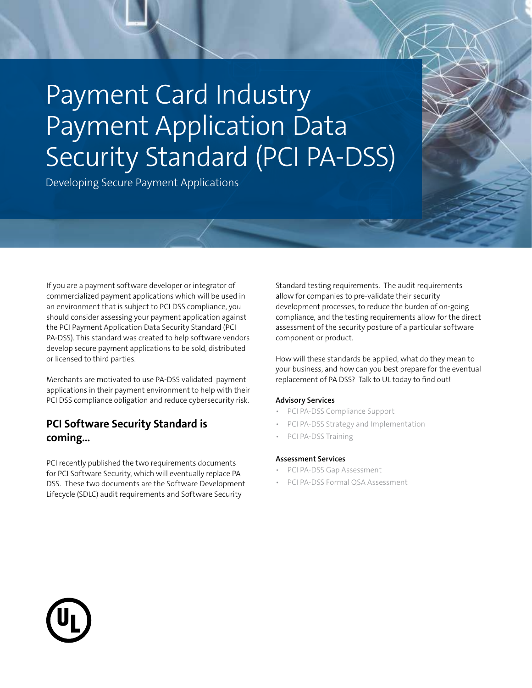# Payment Card Industry Payment Application Data Security Standard (PCI PA-DSS)

Developing Secure Payment Applications

If you are a payment software developer or integrator of commercialized payment applications which will be used in an environment that is subject to PCI DSS compliance, you should consider assessing your payment application against the PCI Payment Application Data Security Standard (PCI PA-DSS). This standard was created to help software vendors develop secure payment applications to be sold, distributed or licensed to third parties.

Merchants are motivated to use PA-DSS validated payment applications in their payment environment to help with their PCI DSS compliance obligation and reduce cybersecurity risk.

## **PCI Software Security Standard is coming…**

PCI recently published the two requirements documents for PCI Software Security, which will eventually replace PA DSS. These two documents are the Software Development Lifecycle (SDLC) audit requirements and Software Security

Standard testing requirements. The audit requirements allow for companies to pre-validate their security development processes, to reduce the burden of on-going compliance, and the testing requirements allow for the direct assessment of the security posture of a particular software component or product.

How will these standards be applied, what do they mean to your business, and how can you best prepare for the eventual replacement of PA DSS? Talk to UL today to find out!

#### **Advisory Services**

- PCI PA-DSS Compliance Support
- PCI PA-DSS Strategy and Implementation
- PCI PA-DSS Training

#### **Assessment Services**

- PCI PA-DSS Gap Assessment
- PCI PA-DSS Formal QSA Assessment